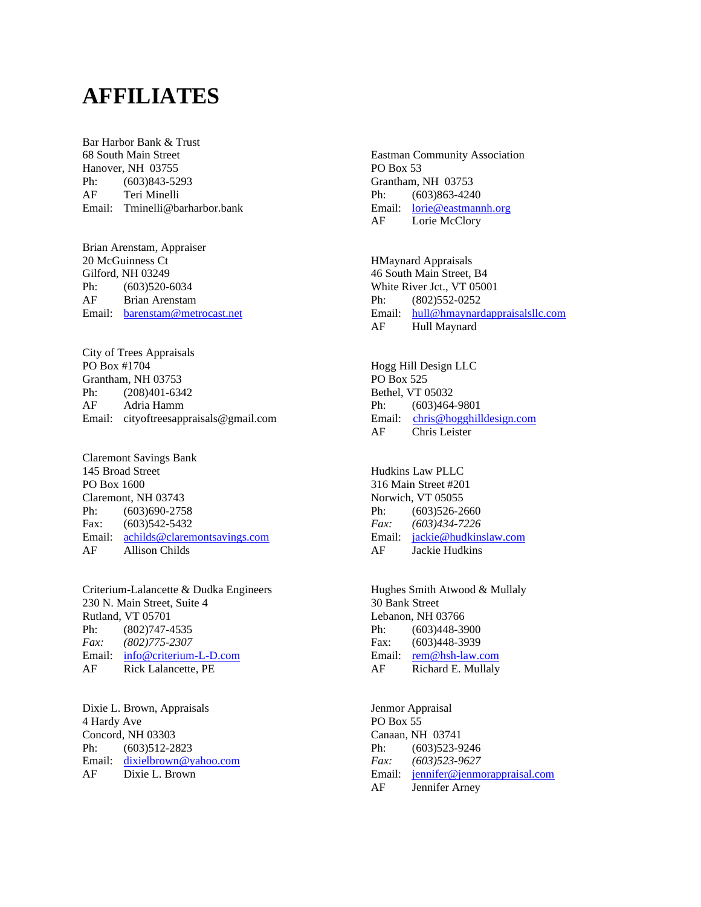## **AFFILIATES**

Bar Harbor Bank & Trust 68 South Main Street Hanover, NH 03755 Ph: (603)843-5293 AF Teri Minelli Email: Tminelli@barharbor.bank

Brian Arenstam, Appraiser 20 McGuinness Ct Gilford, NH 03249 Ph: (603)520-6034 AF Brian Arenstam Email: [barenstam@metrocast.net](mailto:barenstam@metrocast.net)

City of Trees Appraisals PO Box #1704 Grantham, NH 03753 Ph: (208)401-6342 AF Adria Hamm Email: cityoftreesappraisals@gmail.com

Claremont Savings Bank 145 Broad Street PO Box 1600 Claremont, NH 03743 Ph: (603)690-2758 Fax: (603)542-5432 Email: [achilds@claremontsavings.com](mailto:achilds@claremontsavings.com) AF Allison Childs

Criterium-Lalancette & Dudka Engineers 230 N. Main Street, Suite 4 Rutland, VT 05701 Ph: (802)747-4535 *Fax: (802)775-2307* Email: [info@criterium-L-D.com](mailto:info@criterium-L-D.com) AF Rick Lalancette, PE

Dixie L. Brown, Appraisals 4 Hardy Ave Concord, NH 03303 Ph: (603)512-2823 Email: [dixielbrown@yahoo.com](mailto:dixielbrown@yahoo.com) AF Dixie L. Brown

Eastman Community Association PO Box 53 Grantham, NH 03753 Ph: (603)863-4240 Email: [lorie@eastmannh.org](file://///192.168.16.25/company/STACY/Boards/UPPER%20VALLEY/DIRECTORY/22/lorie@eastmannh.org) AF Lorie McClory

HMaynard Appraisals 46 South Main Street, B4 White River Jct., VT 05001 Ph: (802)552-0252 Email: [hull@hmaynardappraisalsllc.com](mailto:hmaynard3@myfairpoint.net) AF Hull Maynard

Hogg Hill Design LLC PO Box 525 Bethel, VT 05032 Ph: (603)464-9801 Email: [chris@hogghilldesign.com](mailto:chris@hogghilldesign.com) AF Chris Leister

Hudkins Law PLLC 316 Main Street #201 Norwich, VT 05055 Ph: (603)526-2660 *Fax: (603)434-7226* Email: [jackie@hudkinslaw.com](mailto:jackie@hudkinslaw.com) AF Jackie Hudkins

Hughes Smith Atwood & Mullaly 30 Bank Street Lebanon, NH 03766 Ph: (603)448-3900 Fax: (603)448-3939 Email: [rem@hsh-law.com](mailto:rem@hsh-law.com) AF Richard E. Mullaly

Jenmor Appraisal PO Box 55 Canaan, NH 03741 Ph: (603)523-9246 *Fax: (603)523-9627* Email: [jennifer@jenmorappraisal.com](file://///192.168.16.25/company/STACY/Boards/UPPER%20VALLEY/DIRECTORY/22/jennifer@jenmorappraisal.com) AF Jennifer Arney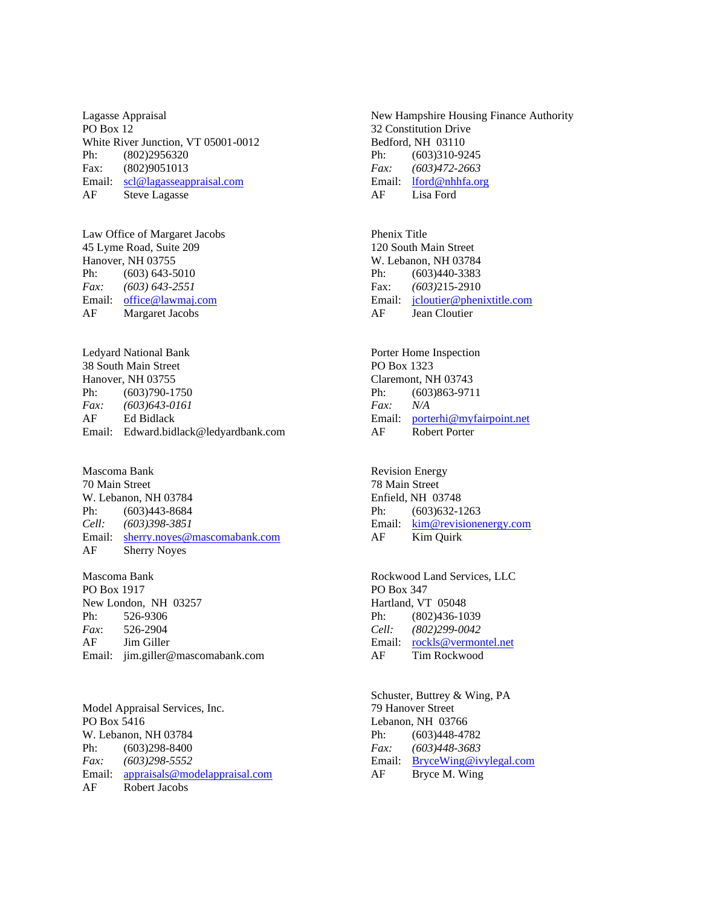Lagasse Appraisal PO Box 12 White River Junction, VT 05001-0012 Ph: (802)2956320 Fax: (802)9051013 Email: [scl@lagasseappraisal.com](mailto:scl@lagasseappraisal.com) AF Steve Lagasse

Law Office of Margaret Jacobs 45 Lyme Road, Suite 209 Hanover, NH 03755 Ph: (603) 643-5010 *Fax: (603) 643-2551* Email: [office@lawmaj.com](file://///192.168.16.25/company/STACY/Boards/UPPER%20VALLEY/DIRECTORY/22/office@lawmaj.com) AF Margaret Jacobs

Ledyard National Bank 38 South Main Street Hanover, NH 03755 Ph: (603)790-1750 *Fax: (603)643-0161* AF Ed Bidlack Email: Edward.bidlack@ledyardbank.com

Mascoma Bank 70 Main Street W. Lebanon, NH 03784 Ph: (603)443-8684 *Cell: (603)398-3851* Email: [sherry.noyes@mascomabank.com](mailto:sherry.noyes@mascomabank.com) AF Sherry Noyes

Mascoma Bank PO Box 1917 New London, NH 03257 Ph: 526-9306 *Fax*: 526-2904 AF Jim Giller Email: jim.giller@mascomabank.com

Model Appraisal Services, Inc. PO Box 5416 W. Lebanon, NH 03784 Ph: (603)298-8400 *Fax: (603)298-5552* Email: [appraisals@modelappraisal.com](file://///192.168.16.25/company/STACY/Boards/UPPER%20VALLEY/DIRECTORY/22/appraisals@modelappraisal.com) AF Robert Jacobs

New Hampshire Housing Finance Authority 32 Constitution Drive Bedford, NH 03110 Ph: (603)310-9245 *Fax: (603)472-2663* Email: [lford@nhhfa.org](mailto:lford@nhhfa.org) AF Lisa Ford

Phenix Title 120 South Main Street W. Lebanon, NH 03784 Ph: (603)440-3383 Fax: *(603)*215-2910 Email: [jcloutier@phenixtitle.com](mailto:jcloutier@phenixtitle.com) AF Jean Cloutier

Porter Home Inspection PO Box 1323 Claremont, NH 03743 Ph: (603)863-9711 *Fax: N/A* Email: [porterhi@myfairpoint.net](mailto:porterhi@myfairpoint.net) AF Robert Porter

Revision Energy 78 Main Street Enfield, NH 03748 Ph: (603) 632-1263 Email: [kim@revisionenergy.com](file://///192.168.16.25/company/STACY/Boards/UPPER%20VALLEY/DIRECTORY/22/kim@energyemp.com) AF Kim Quirk

Rockwood Land Services, LLC PO Box 347 Hartland, VT 05048 Ph: (802)436-1039 *Cell: (802)299-0042* Email: [rockls@vermontel.net](file://///192.168.16.25/company/STACY/Boards/UPPER%20VALLEY/DIRECTORY/22/rockls@vermontel.net) AF Tim Rockwood

Schuster, Buttrey & Wing, PA 79 Hanover Street Lebanon, NH 03766 Ph: (603)448-4782 *Fax: (603)448-3683* Email: [BryceWing@ivylegal.com](mailto:BryceWing@ivylegal.com) AF Bryce M. Wing